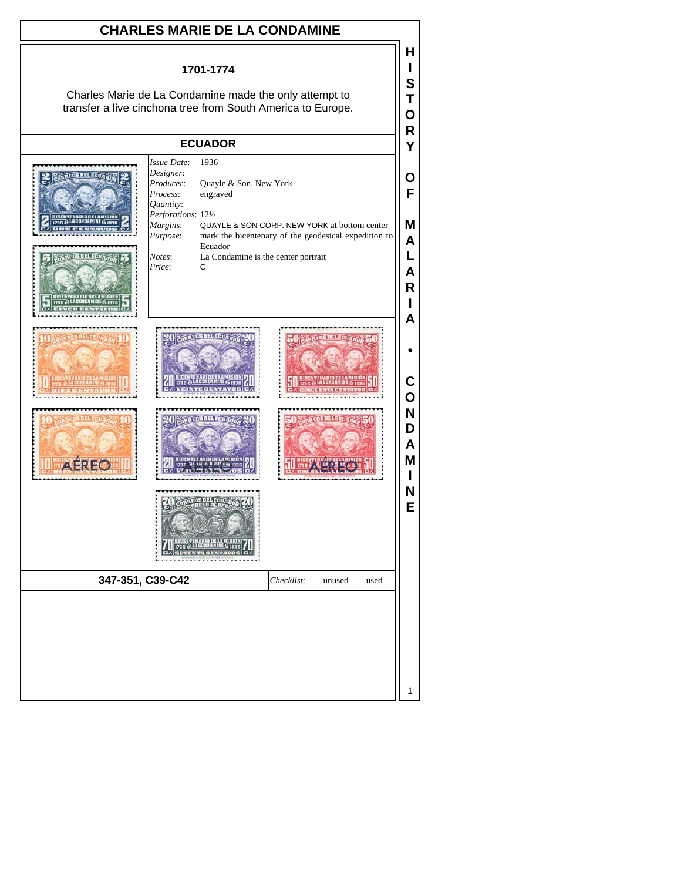## **CHARLES MARIE DE LA CONDAMINE**

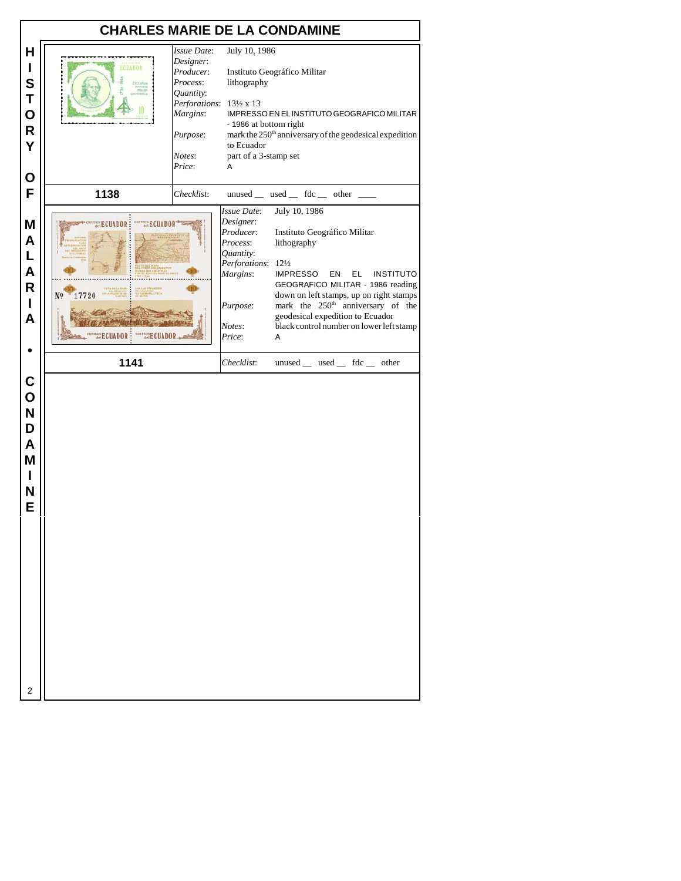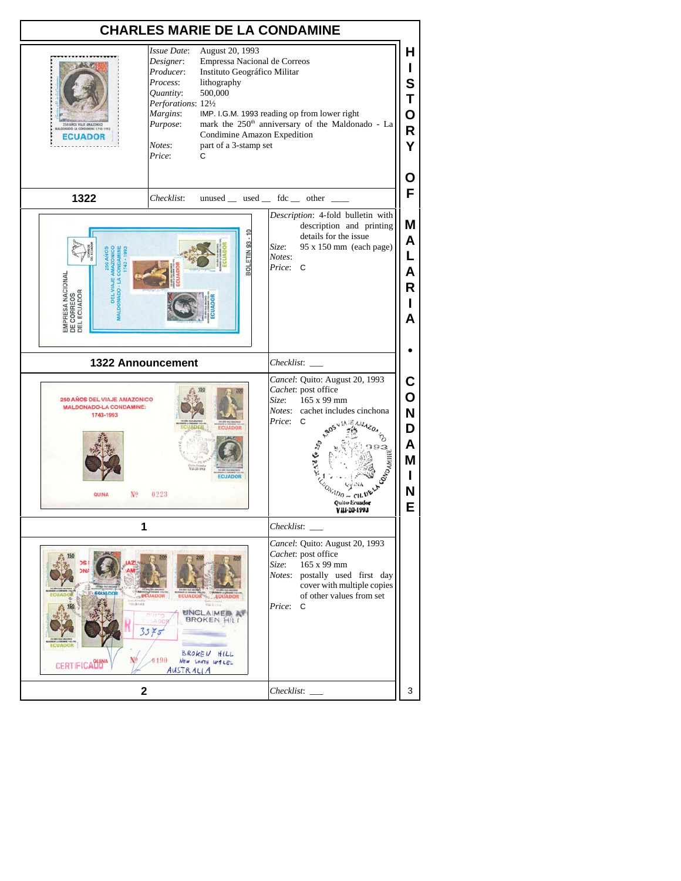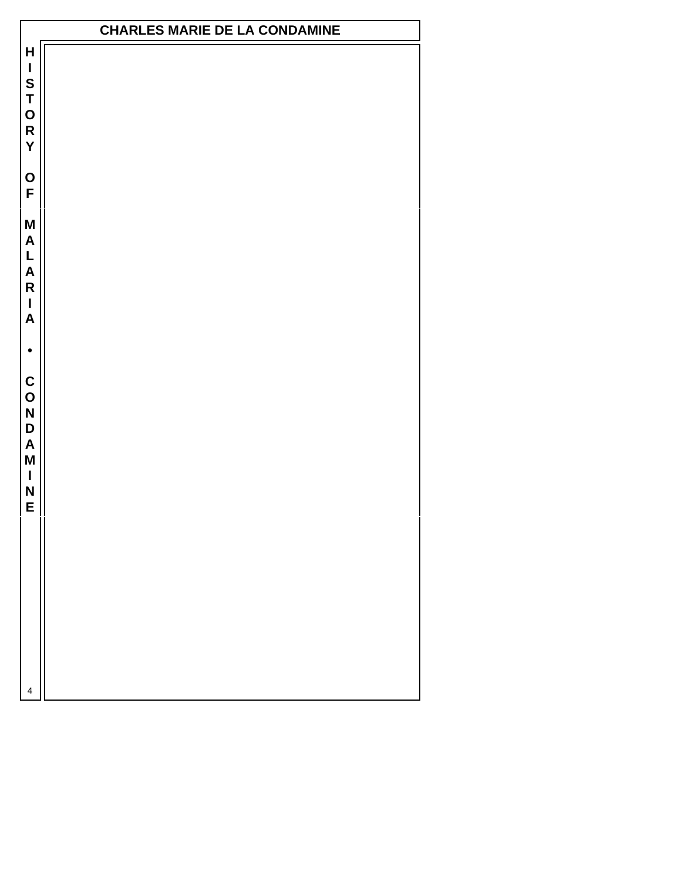## **CHARLES MARIE DE LA CONDAMINE**

 $\mathsf{H}$ **HISTORYOFMALARIA•CONDAMINE** $\overline{\phantom{a}}$ S<br>T<br>O<br>R Y O<br>F M  $\boldsymbol{A}$ L<br>A  $\overline{\mathsf{R}}$  $\overline{1}$  $\overline{\mathsf{A}}$  $\bullet$ C<br>O<br>N<br>D  $\overline{\mathsf{A}}$ M  $\mathbf{I}$ N E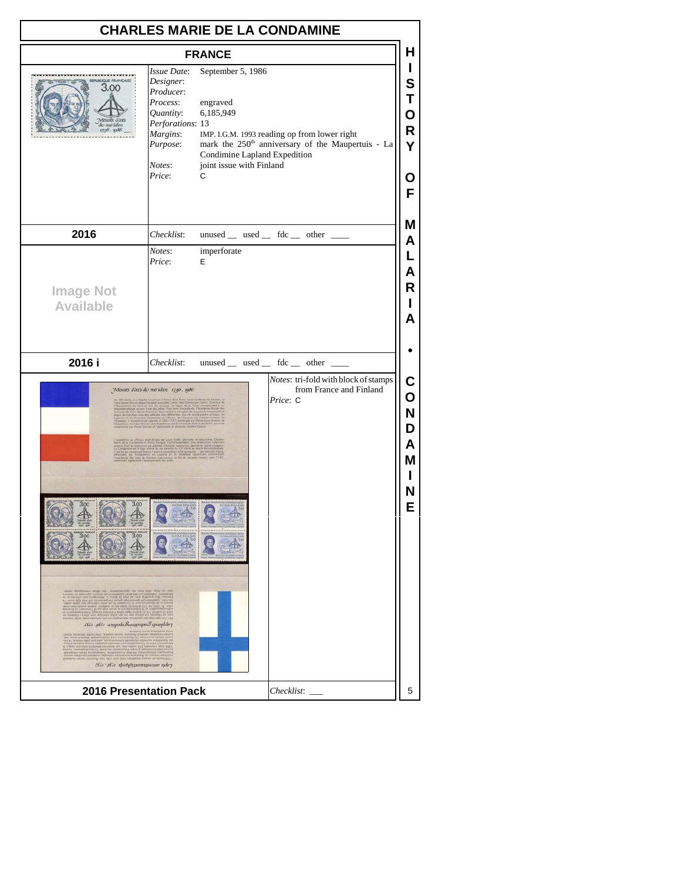|                                                                                  |                                                                                                                                | <b>CHARLES MARIE DE LA CONDAMINE</b>                                                                                                                                                                                         |                                      |  |  |  |
|----------------------------------------------------------------------------------|--------------------------------------------------------------------------------------------------------------------------------|------------------------------------------------------------------------------------------------------------------------------------------------------------------------------------------------------------------------------|--------------------------------------|--|--|--|
| <b>FRANCE</b>                                                                    |                                                                                                                                |                                                                                                                                                                                                                              |                                      |  |  |  |
| <b>PUBLIQUE FRANCAISE</b><br>3.00                                                | Issue Date:<br>Designer:<br>Producer:<br>Process:<br>Quantity:<br>Perforations: 13<br>Margins:<br>Purpose:<br>Notes:<br>Price: | September 5, 1986<br>engraved<br>6,185,949<br>IMP. I.G.M. 1993 reading op from lower right<br>mark the 250 <sup>th</sup> anniversary of the Maupertuis - La<br>Condimine Lapland Expedition<br>joint issue with Finland<br>C | S<br>O<br>R<br>Y<br>O<br>F           |  |  |  |
| 2016                                                                             | Checklist:                                                                                                                     | $unused$ __ used __ fdc __ other __                                                                                                                                                                                          | Μ<br>A                               |  |  |  |
| <b>Image Not</b><br><b>Available</b>                                             | Notes:<br>Price:                                                                                                               | imperforate<br>E                                                                                                                                                                                                             | L<br>Α<br>R<br>А                     |  |  |  |
| 2016 i                                                                           | Checklist:                                                                                                                     | unused _ used _ fdc _ other _                                                                                                                                                                                                |                                      |  |  |  |
|                                                                                  | Mesuñs d'ax's de méridien 1736 - 1986                                                                                          | Notes: tri-fold with block of stamps<br>from France and Finland<br>Price: C                                                                                                                                                  | C<br>O<br>N<br>D<br>Α<br>М<br>N<br>Е |  |  |  |
| 1811-9811 usqupshsSunappuper&spundeler<br>ς αλφι αξείς την προσπατημένη το τρίου |                                                                                                                                |                                                                                                                                                                                                                              |                                      |  |  |  |
| <b>2016 Presentation Pack</b>                                                    | Checklist:                                                                                                                     |                                                                                                                                                                                                                              |                                      |  |  |  |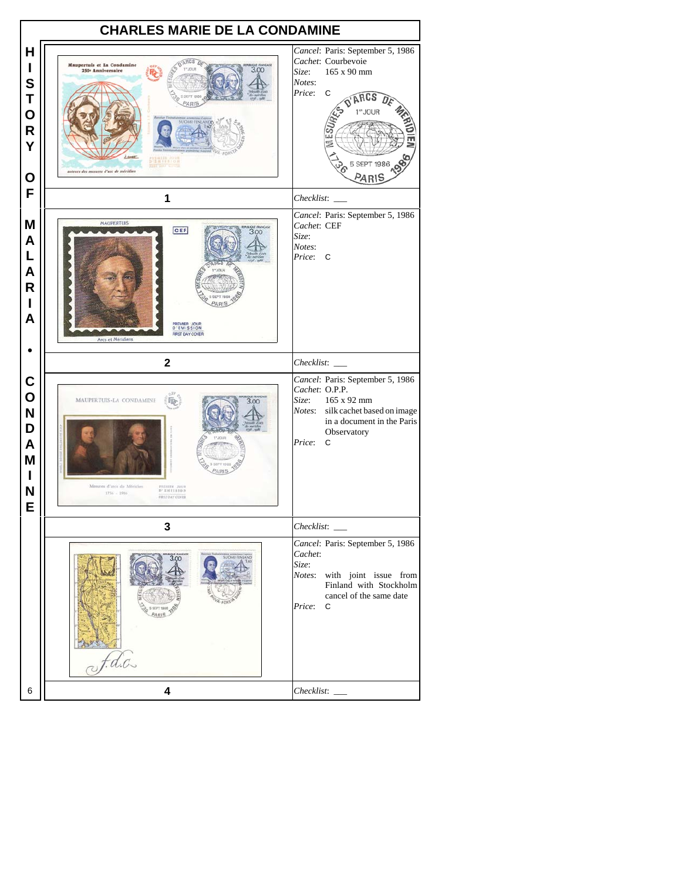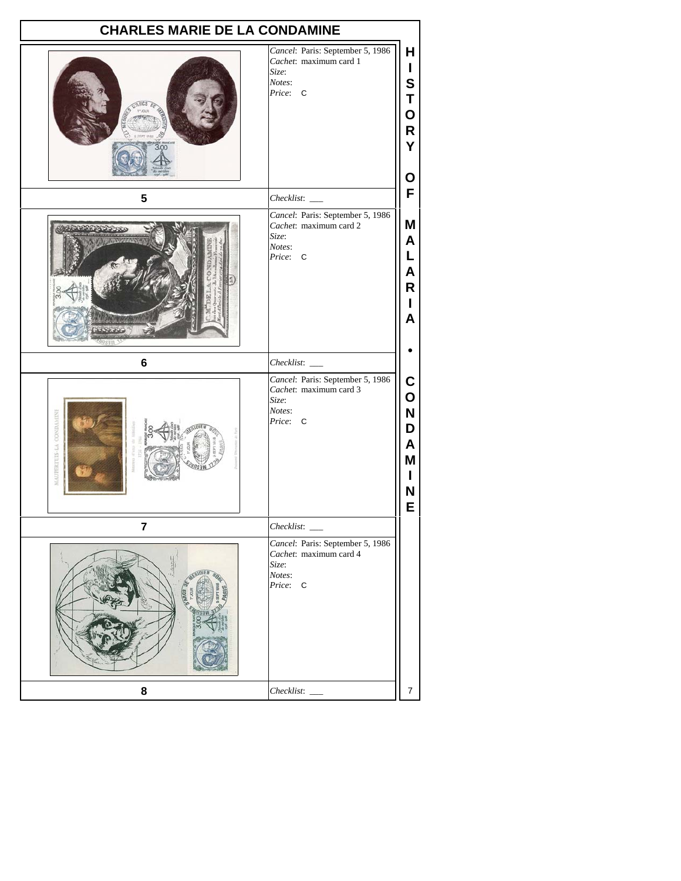| <b>CHARLES MARIE DE LA CONDAMINE</b> |                                                                                                                                        |  |
|--------------------------------------|----------------------------------------------------------------------------------------------------------------------------------------|--|
|                                      | Cancel: Paris: September 5, 1986<br>н<br>Cachet: maximum card 1<br>L<br>Size:<br>S<br>Notes:<br>Price: C<br>T<br>O<br>R<br>Y<br>О      |  |
| 5                                    | F<br>$Checklist:$ $-$                                                                                                                  |  |
|                                      | Cancel: Paris: September 5, 1986<br>Μ<br>Cachet: maximum card 2<br>Size:<br>A<br>Notes:<br>L<br>Price: C<br>A<br>R<br>L<br>A           |  |
| 6                                    |                                                                                                                                        |  |
| <b>AUPERTUIS-LA CONDAMINI</b>        | Cancel: Paris: September 5, 1986<br>C<br>Cachet: maximum card 3<br>O<br>Size:<br>Notes:<br>N<br>Price: C<br>D<br>A<br>Μ<br>L<br>N<br>E |  |
| 7                                    | $Checklist:$ $\_\_$                                                                                                                    |  |
|                                      | Cancel: Paris: September 5, 1986<br>Cachet: maximum card 4<br>Size:<br>Notes:<br>Price: C                                              |  |
| 8                                    | $\overline{7}$                                                                                                                         |  |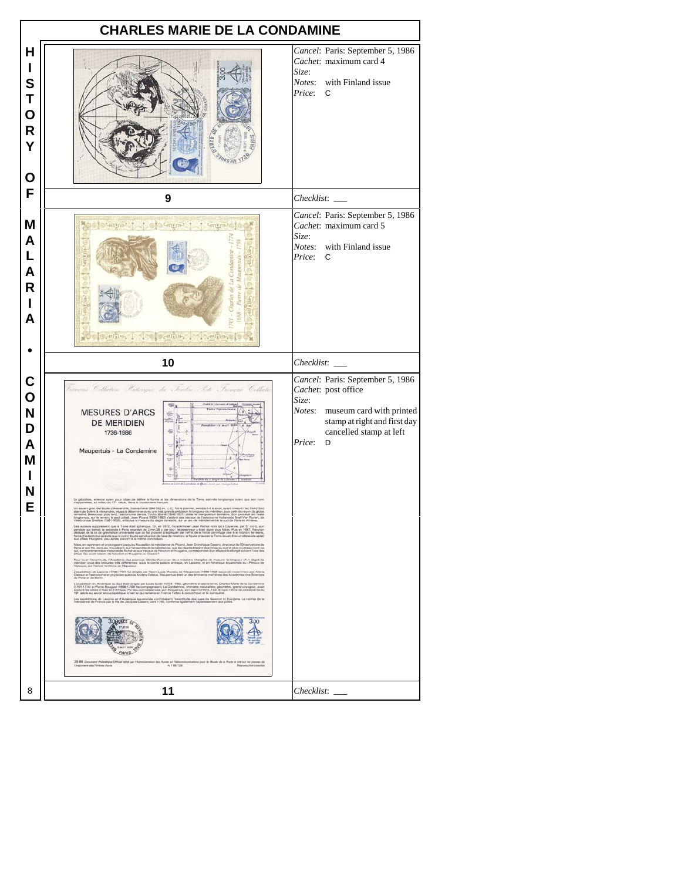|                                                           | <b>CHARLES MARIE DE LA CONDAMINE</b>                                                                                                                                                                                                                                                                                                                                                                                                                                                                                                                                                                                                                                                                                                                                                                                                                                                                                                                                                                                                                                                                                                                                                                                                                                                                                                                                                                                                                                                                                                                                                                                                                                                                                                                                                                                                                                                                                                                                                                                                                                       |                                                                                                                                                                                  |  |  |  |  |
|-----------------------------------------------------------|----------------------------------------------------------------------------------------------------------------------------------------------------------------------------------------------------------------------------------------------------------------------------------------------------------------------------------------------------------------------------------------------------------------------------------------------------------------------------------------------------------------------------------------------------------------------------------------------------------------------------------------------------------------------------------------------------------------------------------------------------------------------------------------------------------------------------------------------------------------------------------------------------------------------------------------------------------------------------------------------------------------------------------------------------------------------------------------------------------------------------------------------------------------------------------------------------------------------------------------------------------------------------------------------------------------------------------------------------------------------------------------------------------------------------------------------------------------------------------------------------------------------------------------------------------------------------------------------------------------------------------------------------------------------------------------------------------------------------------------------------------------------------------------------------------------------------------------------------------------------------------------------------------------------------------------------------------------------------------------------------------------------------------------------------------------------------|----------------------------------------------------------------------------------------------------------------------------------------------------------------------------------|--|--|--|--|
| Н<br>L<br>$\mathbf s$<br>Τ<br>O<br>$\mathsf{R}$<br>Y<br>O |                                                                                                                                                                                                                                                                                                                                                                                                                                                                                                                                                                                                                                                                                                                                                                                                                                                                                                                                                                                                                                                                                                                                                                                                                                                                                                                                                                                                                                                                                                                                                                                                                                                                                                                                                                                                                                                                                                                                                                                                                                                                            | Cancel: Paris: September 5, 1986<br>Cachet: maximum card 4<br>Size:<br>Notes: with Finland issue<br>Price:<br>C                                                                  |  |  |  |  |
| F                                                         | 9                                                                                                                                                                                                                                                                                                                                                                                                                                                                                                                                                                                                                                                                                                                                                                                                                                                                                                                                                                                                                                                                                                                                                                                                                                                                                                                                                                                                                                                                                                                                                                                                                                                                                                                                                                                                                                                                                                                                                                                                                                                                          | Checklist:                                                                                                                                                                       |  |  |  |  |
| M<br>A<br>L<br>A<br>R<br>I<br>A                           | t of sove t<br>t Salvate<br>inenes l'intremes l'achestrol                                                                                                                                                                                                                                                                                                                                                                                                                                                                                                                                                                                                                                                                                                                                                                                                                                                                                                                                                                                                                                                                                                                                                                                                                                                                                                                                                                                                                                                                                                                                                                                                                                                                                                                                                                                                                                                                                                                                                                                                                  | Cancel: Paris: September 5, 1986<br>Cachet: maximum card 5<br>Size:<br>with Finland issue<br>Notes:<br>Price:<br>C                                                               |  |  |  |  |
|                                                           | 10                                                                                                                                                                                                                                                                                                                                                                                                                                                                                                                                                                                                                                                                                                                                                                                                                                                                                                                                                                                                                                                                                                                                                                                                                                                                                                                                                                                                                                                                                                                                                                                                                                                                                                                                                                                                                                                                                                                                                                                                                                                                         | $Checklist:$ $\_\_$                                                                                                                                                              |  |  |  |  |
| C<br>O<br>N<br>D<br>A<br>M<br>L<br>N<br>E                 | Vançois Collation Historique du Ienbas Iste Français Collate<br><b>MESURES D'ARCS</b><br>福<br>DE MERIDIEN<br>堀<br>1736-1986<br>Maupertuis - La Condamine<br>w<br>longtemps, sur le termin, le seul utilisé. Jean Picard (1620-1652) s'aident des travaux de l'astronome hollandais Snell Van Royen, dit<br>Villebrontus Snellus (1681-1626), effectus la mesure du degré terrestre, sur un arc de<br>Con Amery Reporters an IL Terra for applicing Cr., on 1973, Insultations also There was als Convey, par 5" real<br>pandul ou behind it seconds a finite resulted by 2 mm all a par four list peached visit and the Theorem, and T<br>Mas, an expresent et protogeare juego fau Rouellin la médianne de Roard, Jean Domineau Geasin, directeur de l'Otenrestore de<br>Para et son fils Jacques, trouvienni, sur l'ensemble de la médianne, que las dibent plus longs au<br>Pour lever l'incentiude, l'Acadèmie des aciences décida d'envoyer deux misaicns changées de masurer la longueur d'un degni de<br>métoben sous des latitudes très différentes (sous le cente poliere antique, en Leponie, et en Am<br>L'espédition de Laponie (1736-1737) fut dropte per Plemir Louis Moneu, de Meupertus (1898-1769) secondé nosemment per Alexia<br>Clairaut et Septionne et physicien autobia Anders Coleus, Meupertus état un des éminens mentires<br>L'espédition en Amérique du Soul des displanais (une Coule (1794-1790), péomène et assimptone ; Dashar de la Condenne et de l'était (1794-1794) (1794-1794) (1794-1794) (1794-1794) (1794-1794) (1794-1794) (1794-1794) (1794-<br>Las expéditions de Laponia et d'Amérique équetoriale conferrément l'exactitude des vues de Newton et Huygens. La reprise de la<br>méridienne de France par le fils de Jacques Cassini, vers 1780, conferra également l'aplatisaem<br><b>SOBRIES OF BRIDE</b><br>300<br>PARIS 199<br>29-86 Document Philadégue Officiel édité par l'Administrative des Pontes et Téléconne<br>Timprénera des Ténbres-Paste. .<br>munications pour le Musée de la Poste et tief sur les presses de | Cancel: Paris: September 5, 1986<br>Cachet: post office<br>Size:<br>Notes:<br>museum card with printed<br>stamp at right and first day<br>cancelled stamp at left<br>Price:<br>D |  |  |  |  |
| 8                                                         | 11                                                                                                                                                                                                                                                                                                                                                                                                                                                                                                                                                                                                                                                                                                                                                                                                                                                                                                                                                                                                                                                                                                                                                                                                                                                                                                                                                                                                                                                                                                                                                                                                                                                                                                                                                                                                                                                                                                                                                                                                                                                                         |                                                                                                                                                                                  |  |  |  |  |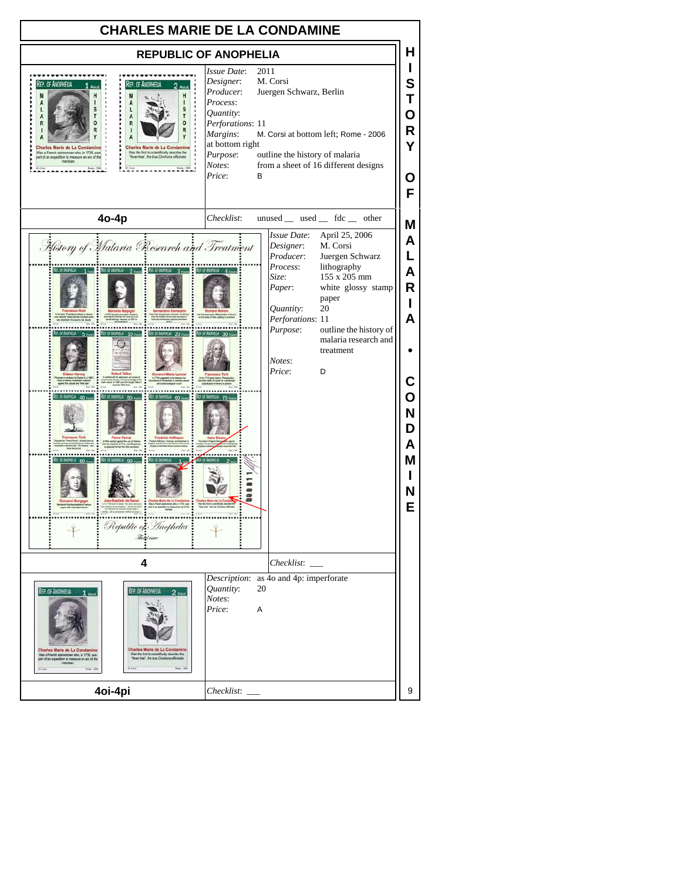